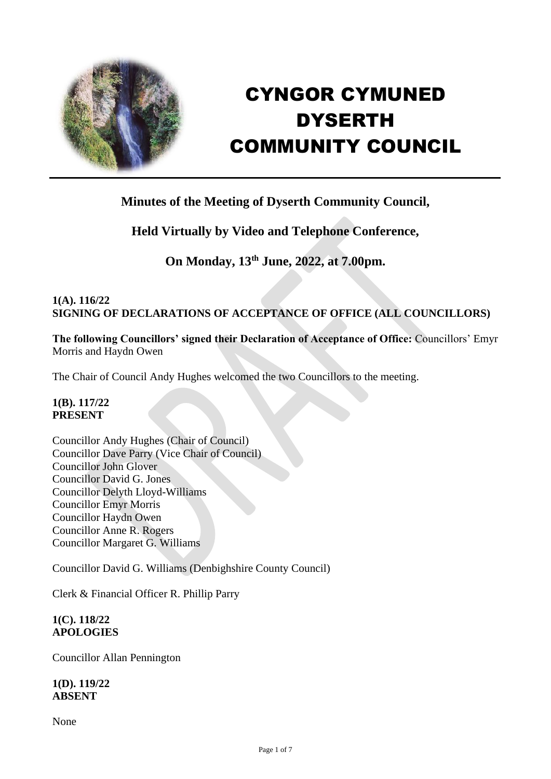

# CYNGOR CYMUNED DYSERTH COMMUNITY COUNCIL

# **Minutes of the Meeting of Dyserth Community Council,**

# **Held Virtually by Video and Telephone Conference,**

# **On Monday, 13th June, 2022, at 7.00pm.**

## **1(A). 116/22 SIGNING OF DECLARATIONS OF ACCEPTANCE OF OFFICE (ALL COUNCILLORS)**

**The following Councillors' signed their Declaration of Acceptance of Office:** Councillors' Emyr Morris and Haydn Owen

The Chair of Council Andy Hughes welcomed the two Councillors to the meeting.

#### **1(B). 117/22 PRESENT**

Councillor Andy Hughes (Chair of Council) Councillor Dave Parry (Vice Chair of Council) Councillor John Glover Councillor David G. Jones Councillor Delyth Lloyd-Williams Councillor Emyr Morris Councillor Haydn Owen Councillor Anne R. Rogers Councillor Margaret G. Williams

Councillor David G. Williams (Denbighshire County Council)

Clerk & Financial Officer R. Phillip Parry

#### **1(C). 118/22 APOLOGIES**

Councillor Allan Pennington

**1(D). 119/22 ABSENT**

None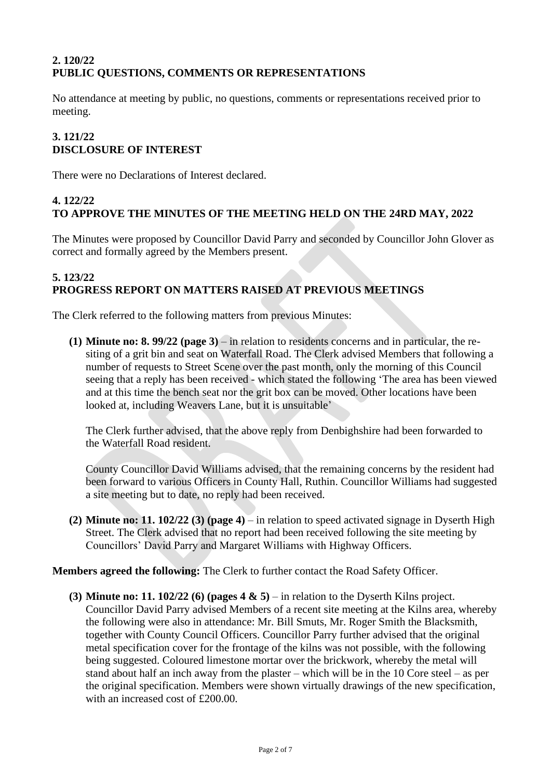## **2. 120/22 PUBLIC QUESTIONS, COMMENTS OR REPRESENTATIONS**

No attendance at meeting by public, no questions, comments or representations received prior to meeting.

#### **3. 121/22 DISCLOSURE OF INTEREST**

There were no Declarations of Interest declared.

#### **4. 122/22 TO APPROVE THE MINUTES OF THE MEETING HELD ON THE 24RD MAY, 2022**

The Minutes were proposed by Councillor David Parry and seconded by Councillor John Glover as correct and formally agreed by the Members present.

#### **5. 123/22 PROGRESS REPORT ON MATTERS RAISED AT PREVIOUS MEETINGS**

The Clerk referred to the following matters from previous Minutes:

**(1) Minute no: 8. 99/22 (page 3)** – in relation to residents concerns and in particular, the resiting of a grit bin and seat on Waterfall Road. The Clerk advised Members that following a number of requests to Street Scene over the past month, only the morning of this Council seeing that a reply has been received - which stated the following 'The area has been viewed and at this time the bench seat nor the grit box can be moved. Other locations have been looked at, including Weavers Lane, but it is unsuitable'

The Clerk further advised, that the above reply from Denbighshire had been forwarded to the Waterfall Road resident.

County Councillor David Williams advised, that the remaining concerns by the resident had been forward to various Officers in County Hall, Ruthin. Councillor Williams had suggested a site meeting but to date, no reply had been received.

**(2) Minute no: 11. 102/22 (3) (page 4)** – in relation to speed activated signage in Dyserth High Street. The Clerk advised that no report had been received following the site meeting by Councillors' David Parry and Margaret Williams with Highway Officers.

#### **Members agreed the following:** The Clerk to further contact the Road Safety Officer.

**(3) Minute no: 11. 102/22 (6) (pages 4 & 5)** – in relation to the Dyserth Kilns project. Councillor David Parry advised Members of a recent site meeting at the Kilns area, whereby the following were also in attendance: Mr. Bill Smuts, Mr. Roger Smith the Blacksmith, together with County Council Officers. Councillor Parry further advised that the original metal specification cover for the frontage of the kilns was not possible, with the following being suggested. Coloured limestone mortar over the brickwork, whereby the metal will stand about half an inch away from the plaster – which will be in the 10 Core steel – as per the original specification. Members were shown virtually drawings of the new specification, with an increased cost of £200.00.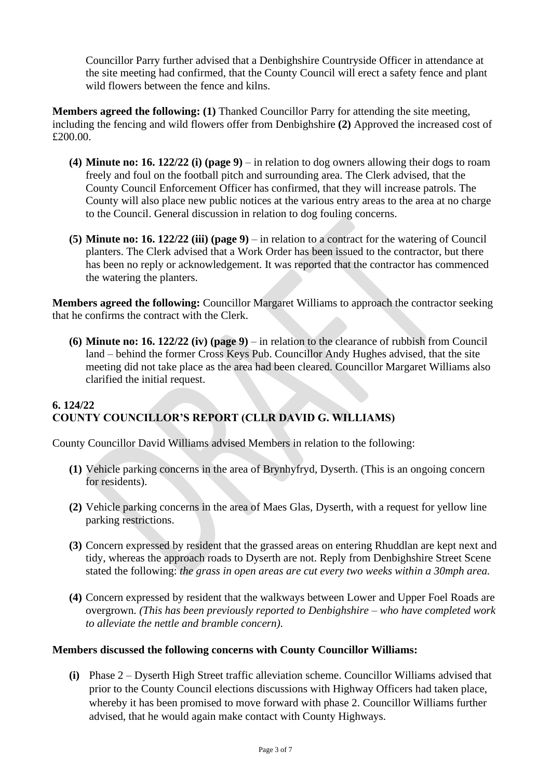Councillor Parry further advised that a Denbighshire Countryside Officer in attendance at the site meeting had confirmed, that the County Council will erect a safety fence and plant wild flowers between the fence and kilns.

**Members agreed the following: (1)** Thanked Councillor Parry for attending the site meeting, including the fencing and wild flowers offer from Denbighshire **(2)** Approved the increased cost of £200.00.

- **(4) Minute no: 16. 122/22 (i) (page 9)** in relation to dog owners allowing their dogs to roam freely and foul on the football pitch and surrounding area. The Clerk advised, that the County Council Enforcement Officer has confirmed, that they will increase patrols. The County will also place new public notices at the various entry areas to the area at no charge to the Council. General discussion in relation to dog fouling concerns.
- **(5) Minute no: 16. 122/22 (iii) (page 9)** in relation to a contract for the watering of Council planters. The Clerk advised that a Work Order has been issued to the contractor, but there has been no reply or acknowledgement. It was reported that the contractor has commenced the watering the planters.

**Members agreed the following:** Councillor Margaret Williams to approach the contractor seeking that he confirms the contract with the Clerk.

**(6) Minute no: 16. 122/22 (iv) (page 9)** – in relation to the clearance of rubbish from Council land – behind the former Cross Keys Pub. Councillor Andy Hughes advised, that the site meeting did not take place as the area had been cleared. Councillor Margaret Williams also clarified the initial request.

# **6. 124/22 COUNTY COUNCILLOR'S REPORT (CLLR DAVID G. WILLIAMS)**

County Councillor David Williams advised Members in relation to the following:

- **(1)** Vehicle parking concerns in the area of Brynhyfryd, Dyserth. (This is an ongoing concern for residents).
- **(2)** Vehicle parking concerns in the area of Maes Glas, Dyserth, with a request for yellow line parking restrictions.
- **(3)** Concern expressed by resident that the grassed areas on entering Rhuddlan are kept next and tidy, whereas the approach roads to Dyserth are not. Reply from Denbighshire Street Scene stated the following: *the grass in open areas are cut every two weeks within a 30mph area.*
- **(4)** Concern expressed by resident that the walkways between Lower and Upper Foel Roads are overgrown. *(This has been previously reported to Denbighshire – who have completed work to alleviate the nettle and bramble concern).*

#### **Members discussed the following concerns with County Councillor Williams:**

**(i)** Phase 2 – Dyserth High Street traffic alleviation scheme. Councillor Williams advised that prior to the County Council elections discussions with Highway Officers had taken place, whereby it has been promised to move forward with phase 2. Councillor Williams further advised, that he would again make contact with County Highways.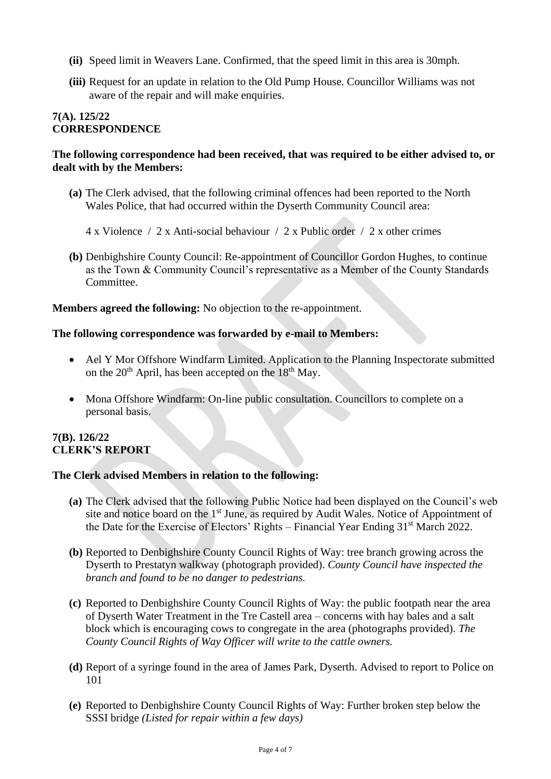- **(ii)** Speed limit in Weavers Lane. Confirmed, that the speed limit in this area is 30mph.
- **(iii)** Request for an update in relation to the Old Pump House. Councillor Williams was not aware of the repair and will make enquiries.

#### **7(A). 125/22 CORRESPONDENCE**

#### **The following correspondence had been received, that was required to be either advised to, or dealt with by the Members:**

- **(a)** The Clerk advised, that the following criminal offences had been reported to the North Wales Police, that had occurred within the Dyserth Community Council area:
	- 4 x Violence / 2 x Anti-social behaviour / 2 x Public order / 2 x other crimes
- **(b)** Denbighshire County Council: Re-appointment of Councillor Gordon Hughes, to continue as the Town & Community Council's representative as a Member of the County Standards Committee.

#### **Members agreed the following:** No objection to the re-appointment.

#### **The following correspondence was forwarded by e-mail to Members:**

- Ael Y Mor Offshore Windfarm Limited. Application to the Planning Inspectorate submitted on the  $20<sup>th</sup>$  April, has been accepted on the  $18<sup>th</sup>$  May.
- Mona Offshore Windfarm: On-line public consultation. Councillors to complete on a personal basis.

#### **7(B). 126/22 CLERK'S REPORT**

#### **The Clerk advised Members in relation to the following:**

- **(a)** The Clerk advised that the following Public Notice had been displayed on the Council's web site and notice board on the 1<sup>st</sup> June, as required by Audit Wales. Notice of Appointment of the Date for the Exercise of Electors' Rights – Financial Year Ending 31st March 2022.
- **(b)** Reported to Denbighshire County Council Rights of Way: tree branch growing across the Dyserth to Prestatyn walkway (photograph provided). *County Council have inspected the branch and found to be no danger to pedestrians.*
- **(c)** Reported to Denbighshire County Council Rights of Way: the public footpath near the area of Dyserth Water Treatment in the Tre Castell area – concerns with hay bales and a salt block which is encouraging cows to congregate in the area (photographs provided). *The County Council Rights of Way Officer will write to the cattle owners.*
- **(d)** Report of a syringe found in the area of James Park, Dyserth. Advised to report to Police on 101
- **(e)** Reported to Denbighshire County Council Rights of Way: Further broken step below the SSSI bridge *(Listed for repair within a few days)*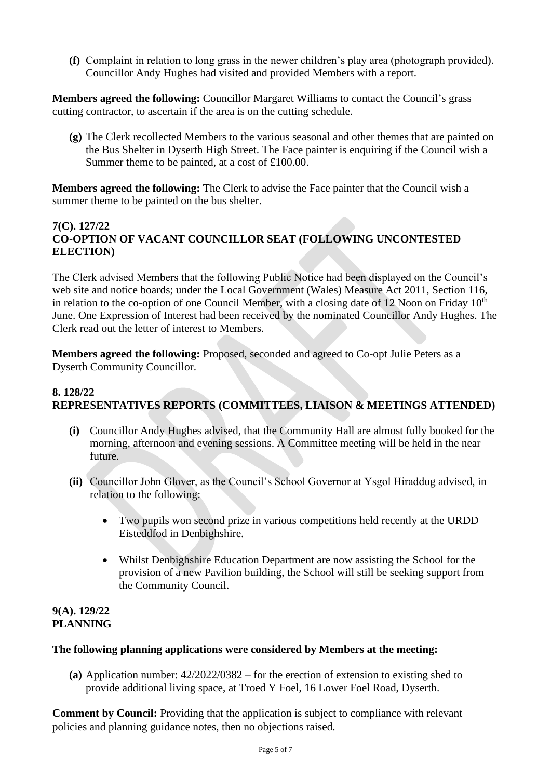**(f)** Complaint in relation to long grass in the newer children's play area (photograph provided). Councillor Andy Hughes had visited and provided Members with a report.

**Members agreed the following:** Councillor Margaret Williams to contact the Council's grass cutting contractor, to ascertain if the area is on the cutting schedule.

**(g)** The Clerk recollected Members to the various seasonal and other themes that are painted on the Bus Shelter in Dyserth High Street. The Face painter is enquiring if the Council wish a Summer theme to be painted, at a cost of £100.00.

**Members agreed the following:** The Clerk to advise the Face painter that the Council wish a summer theme to be painted on the bus shelter.

#### **7(C). 127/22 CO-OPTION OF VACANT COUNCILLOR SEAT (FOLLOWING UNCONTESTED ELECTION)**

The Clerk advised Members that the following Public Notice had been displayed on the Council's web site and notice boards; under the Local Government (Wales) Measure Act 2011, Section 116, in relation to the co-option of one Council Member, with a closing date of 12 Noon on Friday  $10<sup>th</sup>$ June. One Expression of Interest had been received by the nominated Councillor Andy Hughes. The Clerk read out the letter of interest to Members.

**Members agreed the following:** Proposed, seconded and agreed to Co-opt Julie Peters as a Dyserth Community Councillor.

#### **8. 128/22 REPRESENTATIVES REPORTS (COMMITTEES, LIAISON & MEETINGS ATTENDED)**

- **(i)** Councillor Andy Hughes advised, that the Community Hall are almost fully booked for the morning, afternoon and evening sessions. A Committee meeting will be held in the near future.
- **(ii)** Councillor John Glover, as the Council's School Governor at Ysgol Hiraddug advised, in relation to the following:
	- Two pupils won second prize in various competitions held recently at the URDD Eisteddfod in Denbighshire.
	- Whilst Denbighshire Education Department are now assisting the School for the provision of a new Pavilion building, the School will still be seeking support from the Community Council.

#### **9(A). 129/22 PLANNING**

#### **The following planning applications were considered by Members at the meeting:**

**(a)** Application number: 42/2022/0382 – for the erection of extension to existing shed to provide additional living space, at Troed Y Foel, 16 Lower Foel Road, Dyserth.

**Comment by Council:** Providing that the application is subject to compliance with relevant policies and planning guidance notes, then no objections raised.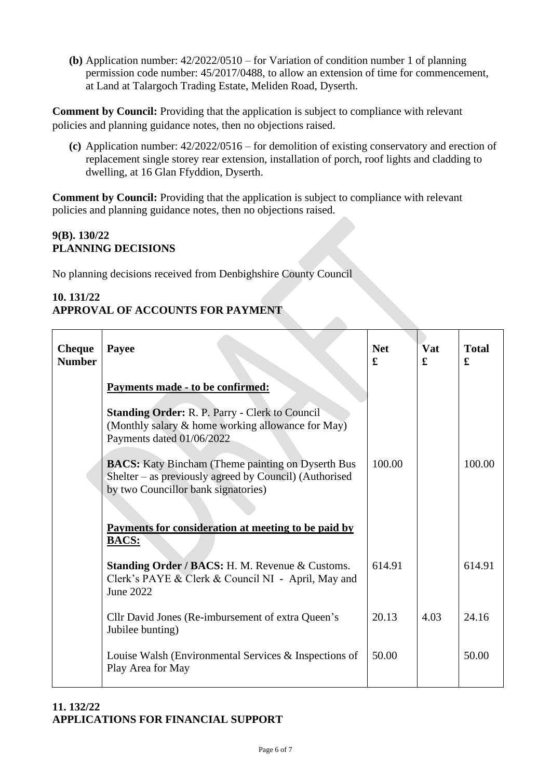**(b)** Application number: 42/2022/0510 – for Variation of condition number 1 of planning permission code number: 45/2017/0488, to allow an extension of time for commencement, at Land at Talargoch Trading Estate, Meliden Road, Dyserth.

**Comment by Council:** Providing that the application is subject to compliance with relevant policies and planning guidance notes, then no objections raised.

**(c)** Application number: 42/2022/0516 – for demolition of existing conservatory and erection of replacement single storey rear extension, installation of porch, roof lights and cladding to dwelling, at 16 Glan Ffyddion, Dyserth.

**Comment by Council:** Providing that the application is subject to compliance with relevant policies and planning guidance notes, then no objections raised.

### **9(B). 130/22 PLANNING DECISIONS**

No planning decisions received from Denbighshire County Council

#### **10. 131/22 APPROVAL OF ACCOUNTS FOR PAYMENT**

| <b>Cheque</b><br><b>Number</b> | Payee                                                                                                                                                     | <b>Net</b><br>£ | Vat<br>£ | <b>Total</b><br>£ |
|--------------------------------|-----------------------------------------------------------------------------------------------------------------------------------------------------------|-----------------|----------|-------------------|
|                                | <u>Payments made - to be confirmed:</u>                                                                                                                   |                 |          |                   |
|                                | <b>Standing Order: R. P. Parry - Clerk to Council</b><br>(Monthly salary & home working allowance for May)<br>Payments dated 01/06/2022                   |                 |          |                   |
|                                | <b>BACS:</b> Katy Bincham (Theme painting on Dyserth Bus<br>Shelter – as previously agreed by Council) (Authorised<br>by two Councillor bank signatories) | 100.00          |          | 100.00            |
|                                | Payments for consideration at meeting to be paid by<br><b>BACS:</b>                                                                                       |                 |          |                   |
|                                | Standing Order / BACS: H. M. Revenue & Customs.<br>Clerk's PAYE & Clerk & Council NI - April, May and<br>June 2022                                        | 614.91          |          | 614.91            |
|                                | Cllr David Jones (Re-imbursement of extra Queen's<br>Jubilee bunting)                                                                                     | 20.13           | 4.03     | 24.16             |
|                                | Louise Walsh (Environmental Services & Inspections of<br>Play Area for May                                                                                | 50.00           |          | 50.00             |

#### **11. 132/22 APPLICATIONS FOR FINANCIAL SUPPORT**